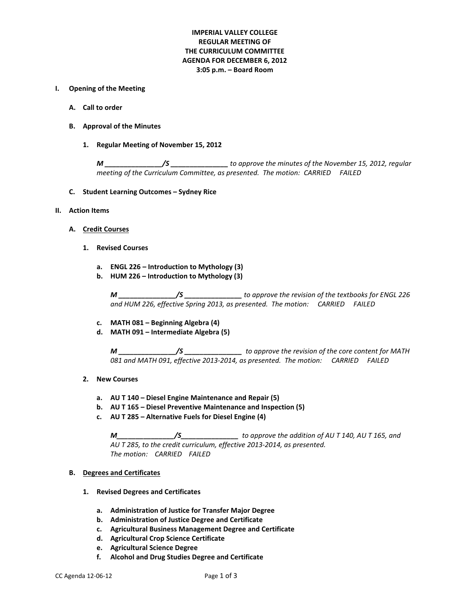#### **IMPERIAL VALLEY COLLEGE REGULAR MEETING OF THE CURRICULUM COMMITTEE AGENDA FOR DECEMBER 6, 2012 3:05 p.m. – Board Room**

#### **I. Opening of the Meeting**

- **A. Call to order**
- **B. Approval of the Minutes**
	- **1. Regular Meeting of November 15, 2012**

*M \_\_\_\_\_\_\_\_\_\_\_\_\_\_\_/S \_\_\_\_\_\_\_\_\_\_\_\_\_\_\_ to approve the minutes of the November 15, 2012, regular meeting of the Curriculum Committee, as presented. The motion: CARRIED FAILED* 

- **C. Student Learning Outcomes – Sydney Rice**
- **II. Action Items**
	- **A. Credit Courses**
		- **1. Revised Courses**
			- **a. ENGL 226 – Introduction to Mythology (3)**
			- **b. HUM 226 – Introduction to Mythology (3)**

*M \_\_\_\_\_\_\_\_\_\_\_\_\_\_\_/S \_\_\_\_\_\_\_\_\_\_\_\_\_\_\_ to approve the revision of the textbooks for ENGL 226 and HUM 226, effective Spring 2013, as presented. The motion: CARRIED FAILED*

- **c. MATH 081 – Beginning Algebra (4)**
- **d. MATH 091 – Intermediate Algebra (5)**

*M \_\_\_\_\_\_\_\_\_\_\_\_\_\_\_/S \_\_\_\_\_\_\_\_\_\_\_\_\_\_\_ to approve the revision of the core content for MATH 081 and MATH 091, effective 2013-2014, as presented. The motion: CARRIED FAILED*

- **2. New Courses**
	- **a. AU T 140 – Diesel Engine Maintenance and Repair (5)**
	- **b. AU T 165 – Diesel Preventive Maintenance and Inspection (5)**
	- **c. AU T 285 – Alternative Fuels for Diesel Engine (4)**

*M\_\_\_\_\_\_\_\_\_\_\_\_\_\_\_/S\_\_\_\_\_\_\_\_\_\_\_\_\_\_\_ to approve the addition of AU T 140, AU T 165, and AU T 285, to the credit curriculum, effective 2013-2014, as presented. The motion: CARRIED FAILED*

#### **B. Degrees and Certificates**

- **1. Revised Degrees and Certificates**
	- **a. Administration of Justice for Transfer Major Degree**
	- **b. Administration of Justice Degree and Certificate**
	- **c. Agricultural Business Management Degree and Certificate**
	- **d. Agricultural Crop Science Certificate**
	- **e. Agricultural Science Degree**
	- **f. Alcohol and Drug Studies Degree and Certificate**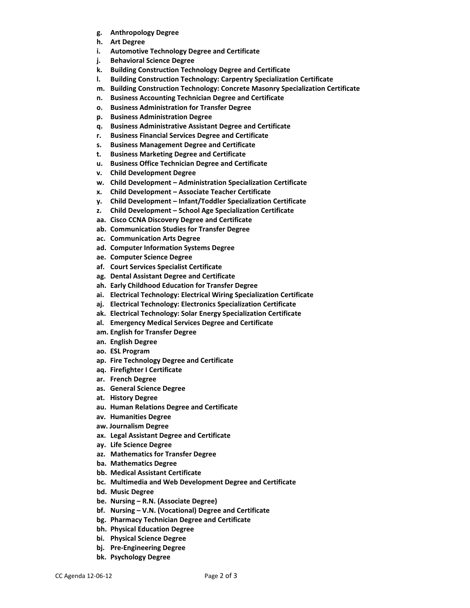- **g. Anthropology Degree**
- **h. Art Degree**
- **i. Automotive Technology Degree and Certificate**
- **j. Behavioral Science Degree**
- **k. Building Construction Technology Degree and Certificate**
- **l. Building Construction Technology: Carpentry Specialization Certificate**
- **m. Building Construction Technology: Concrete Masonry Specialization Certificate**
- **n. Business Accounting Technician Degree and Certificate**
- **o. Business Administration for Transfer Degree**
- **p. Business Administration Degree**
- **q. Business Administrative Assistant Degree and Certificate**
- **r. Business Financial Services Degree and Certificate**
- **s. Business Management Degree and Certificate**
- **t. Business Marketing Degree and Certificate**
- **u. Business Office Technician Degree and Certificate**
- **v. Child Development Degree**
- **w. Child Development – Administration Specialization Certificate**
- **x. Child Development – Associate Teacher Certificate**
- **y. Child Development – Infant/Toddler Specialization Certificate**
- **z. Child Development – School Age Specialization Certificate**
- **aa. Cisco CCNA Discovery Degree and Certificate**
- **ab. Communication Studies for Transfer Degree**
- **ac. Communication Arts Degree**
- **ad. Computer Information Systems Degree**
- **ae. Computer Science Degree**
- **af. Court Services Specialist Certificate**
- **ag. Dental Assistant Degree and Certificate**
- **ah. Early Childhood Education for Transfer Degree**
- **ai. Electrical Technology: Electrical Wiring Specialization Certificate**
- **aj. Electrical Technology: Electronics Specialization Certificate**
- **ak. Electrical Technology: Solar Energy Specialization Certificate**
- **al. Emergency Medical Services Degree and Certificate**
- **am. English for Transfer Degree**
- **an. English Degree**
- **ao. ESL Program**
- **ap. Fire Technology Degree and Certificate**
- **aq. Firefighter I Certificate**
- **ar. French Degree**
- **as. General Science Degree**
- **at. History Degree**
- **au. Human Relations Degree and Certificate**
- **av. Humanities Degree**
- **aw. Journalism Degree**
- **ax. Legal Assistant Degree and Certificate**
- **ay. Life Science Degree**
- **az. Mathematics for Transfer Degree**
- **ba. Mathematics Degree**
- **bb. Medical Assistant Certificate**
- **bc. Multimedia and Web Development Degree and Certificate**
- **bd. Music Degree**
- **be. Nursing – R.N. (Associate Degree)**
- **bf. Nursing – V.N. (Vocational) Degree and Certificate**
- **bg. Pharmacy Technician Degree and Certificate**
- **bh. Physical Education Degree**
- **bi. Physical Science Degree**
- **bj. Pre-Engineering Degree**
- **bk. Psychology Degree**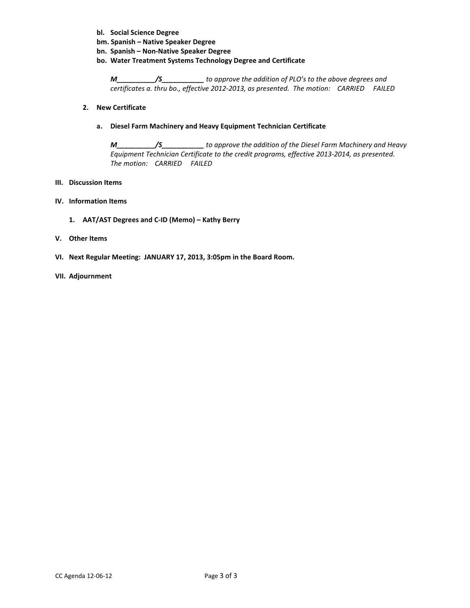- **bl. Social Science Degree**
- **bm. Spanish – Native Speaker Degree**
- **bn. Spanish – Non-Native Speaker Degree**
- **bo. Water Treatment Systems Technology Degree and Certificate**

*M\_\_\_\_\_\_\_\_\_\_/S\_\_\_\_\_\_\_\_\_\_\_ to approve the addition of PLO's to the above degrees and certificates a. thru bo., effective 2012-2013, as presented. The motion: CARRIED FAILED*

#### **2. New Certificate**

#### **a. Diesel Farm Machinery and Heavy Equipment Technician Certificate**

*M\_\_\_\_\_\_\_\_\_\_/S\_\_\_\_\_\_\_\_\_\_\_ to approve the addition of the Diesel Farm Machinery and Heavy Equipment Technician Certificate to the credit programs, effective 2013-2014, as presented. The motion: CARRIED FAILED*

#### **III. Discussion Items**

- **IV. Information Items**
	- **1. AAT/AST Degrees and C-ID (Memo) – Kathy Berry**
- **V. Other Items**
- **VI. Next Regular Meeting: JANUARY 17, 2013, 3:05pm in the Board Room.**

#### **VII. Adjournment**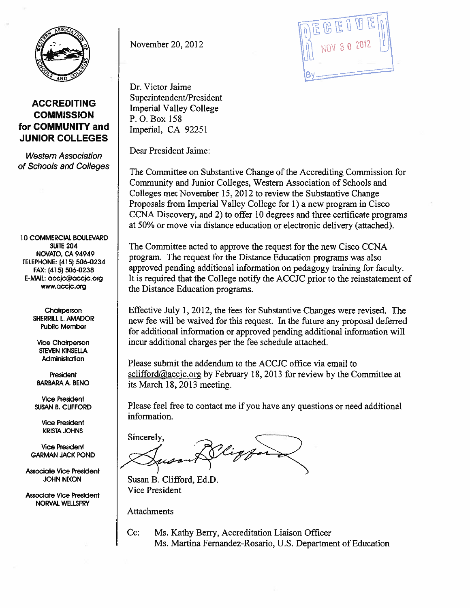

**ACCREDITING COMMISSION** for COMMUNITY and **JUNIOR COLLEGES** 

**Western Association** of Schools and Colleges

10 COMMERCIAL BOULEVARD **SUITE 204** NOVATO, CA 94949 TELEPHONE: (415) 506-0234 FAX: (415) 506-0238 E-MAIL: accjc@accjc.org www.accjc.org

> Chairperson SHERRILL L. AMADOR **Public Member**

**Vice Chairperson STEVEN KINSELLA** Administration

President **BARBARA A. BENO** 

**Vice President SUSAN B. CLIFFORD** 

> **Vice President KRISTA JOHNS**

**Vice President GARMAN JACK POND** 

**Associate Vice President JOHN NIXON** 

**Associate Vice President** NORVAL WELLSFRY

November 20, 2012

Dr. Victor Jaime Superintendent/President **Imperial Valley College** P.O. Box 158 Imperial, CA 92251

Dear President Jaime:

The Committee on Substantive Change of the Accrediting Commission for Community and Junior Colleges, Western Association of Schools and Colleges met November 15, 2012 to review the Substantive Change Proposals from Imperial Valley College for 1) a new program in Cisco CCNA Discovery, and 2) to offer 10 degrees and three certificate programs at 50% or move via distance education or electronic delivery (attached).

The Committee acted to approve the request for the new Cisco CCNA program. The request for the Distance Education programs was also approved pending additional information on pedagogy training for faculty. It is required that the College notify the ACCJC prior to the reinstatement of the Distance Education programs.

Effective July 1, 2012, the fees for Substantive Changes were revised. The new fee will be waived for this request. In the future any proposal deferred for additional information or approved pending additional information will incur additional charges per the fee schedule attached.

Please submit the addendum to the ACCJC office via email to  $\frac{\text{selfford}(\omega) \text{accic.org}}{\text{of}}$  by February 18, 2013 for review by the Committee at its March 18, 2013 meeting.

Please feel free to contact me if you have any questions or need additional information.

Sincerely,

Susan B. Clifford, Ed.D. **Vice President** 

Attachments

Ms. Kathy Berry, Accreditation Liaison Officer  $Cc$ : Ms. Martina Fernandez-Rosario, U.S. Department of Education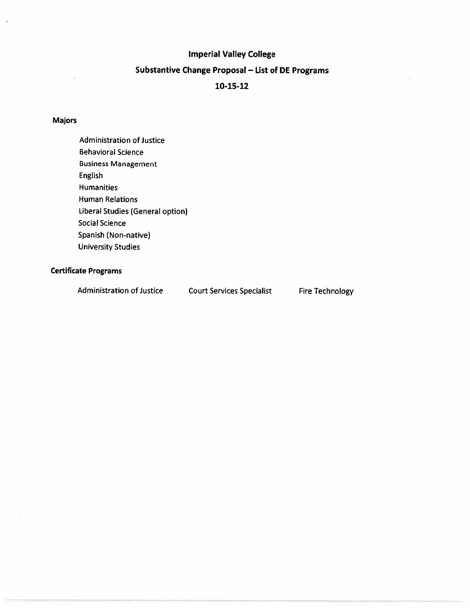## **Imperial Valley College**

# Substantive Change Proposal - List of DE Programs

### 10-15-12

### **Majors**

**Administration of Justice Behavioral Science Business Management** English **Humanities Human Relations** Liberal Studies (General option) **Social Science** Spanish (Non-native) **University Studies** 

### **Certificate Programs**

**Administration of Justice Court Services Specialist Fire Technology**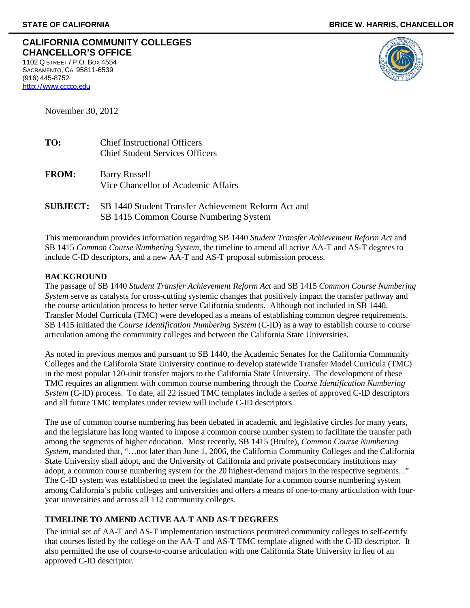| CALIFORNIA COMMUNITY COLLEGES |
|-------------------------------|
| <b>CHANCELLOR'S OFFICE</b>    |
| 1102 O CTDEET $/D$ O ROV 1551 |

1102 Q STREET / P.O. BOX 4554 SACRAMENTO, CA 95811-6539 (916) 445-8752 [http://www.cccco.edu](http://www.cccco.edu/)



November 30, 2012

| TO: | <b>Chief Instructional Officers</b>    |
|-----|----------------------------------------|
|     | <b>Chief Student Services Officers</b> |
|     |                                        |

- **FROM:** Barry Russell Vice Chancellor of Academic Affairs
- **SUBJECT:** SB 1440 Student Transfer Achievement Reform Act and SB 1415 Common Course Numbering System

This memorandum provides information regarding SB 1440 *Student Transfer Achievement Reform Act* and SB 1415 *Common Course Numbering System*, the timeline to amend all active AA-T and AS-T degrees to include C-ID descriptors, and a new AA-T and AS-T proposal submission process.

### **BACKGROUND**

The passage of SB 1440 *Student Transfer Achievement Reform Act* and SB 1415 *Common Course Numbering System* serve as catalysts for cross-cutting systemic changes that positively impact the transfer pathway and the course articulation process to better serve California students. Although not included in SB 1440, Transfer Model Curricula (TMC) were developed as a means of establishing common degree requirements. SB 1415 initiated the *Course Identification Numbering System* (C-ID) as a way to establish course to course articulation among the community colleges and between the California State Universities.

As noted in previous memos and pursuant to SB 1440, the Academic Senates for the California Community Colleges and the California State University continue to develop statewide Transfer Model Curricula (TMC) in the most popular 120-unit transfer majors to the California State University. The development of these TMC requires an alignment with common course numbering through the *Course Identification Numbering System* (C-ID) process. To date, all 22 issued TMC templates include a series of approved C-ID descriptors and all future TMC templates under review will include C-ID descriptors.

The use of common course numbering has been debated in academic and legislative circles for many years, and the legislature has long wanted to impose a common course number system to facilitate the transfer path among the segments of higher education. Most recently, SB 1415 (Brulte), *Common Course Numbering System*, mandated that, "…not later than June 1, 2006, the California Community Colleges and the California State University shall adopt, and the University of California and private postsecondary institutions may adopt, a common course numbering system for the 20 highest-demand majors in the respective segments..." The C-ID system was established to meet the legislated mandate for a common course numbering system among California's public colleges and universities and offers a means of one-to-many articulation with fouryear universities and across all 112 community colleges.

### **TIMELINE TO AMEND ACTIVE AA-T AND AS-T DEGREES**

The initial set of AA-T and AS-T implementation instructions permitted community colleges to self-certify that courses listed by the college on the AA-T and AS-T TMC template aligned with the C-ID descriptor. It also permitted the use of course-to-course articulation with one California State University in lieu of an approved C-ID descriptor.